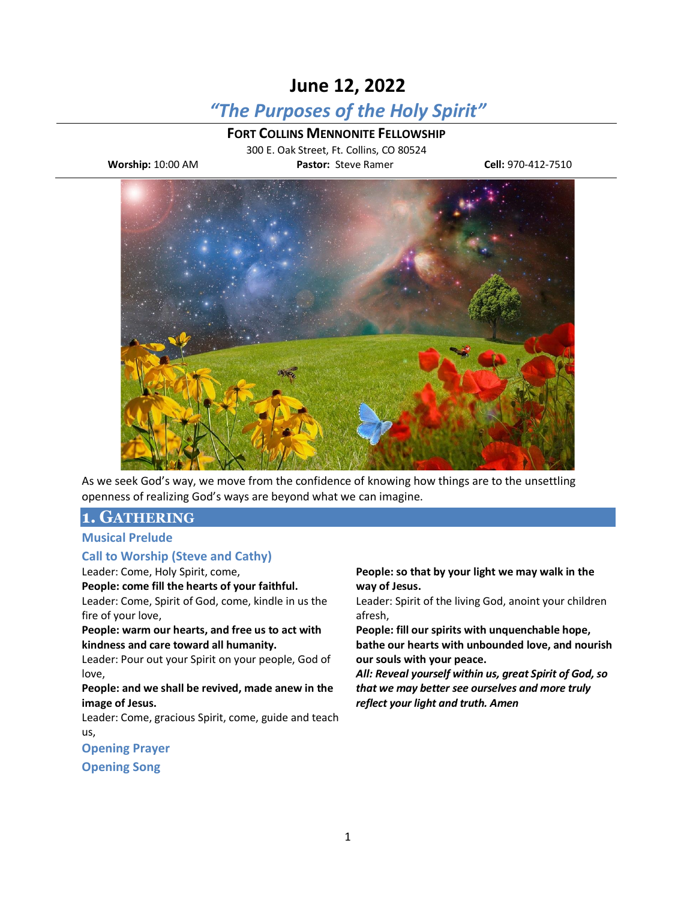# **June 12, 2022**

## *"The Purposes of the Holy Spirit"*

**FORT COLLINS MENNONITE FELLOWSHIP**

300 E. Oak Street, Ft. Collins, CO 80524 **Worship:** 10:00 AM **Pastor:** Steve Ramer **Cell:** 970-412-7510



As we seek God's way, we move from the confidence of knowing how things are to the unsettling openness of realizing God's ways are beyond what we can imagine.

## **1. GATHERING**

#### **Musical Prelude**

#### **Call to Worship (Steve and Cathy)**

Leader: Come, Holy Spirit, come,

#### **People: come fill the hearts of your faithful.**

Leader: Come, Spirit of God, come, kindle in us the fire of your love,

**People: warm our hearts, and free us to act with kindness and care toward all humanity.**

Leader: Pour out your Spirit on your people, God of love,

**People: and we shall be revived, made anew in the image of Jesus.**

Leader: Come, gracious Spirit, come, guide and teach us,

**Opening Prayer**

**Opening Song**

#### **People: so that by your light we may walk in the way of Jesus.**

Leader: Spirit of the living God, anoint your children afresh,

**People: fill our spirits with unquenchable hope, bathe our hearts with unbounded love, and nourish our souls with your peace.**

*All: Reveal yourself within us, great Spirit of God, so that we may better see ourselves and more truly reflect your light and truth. Amen*